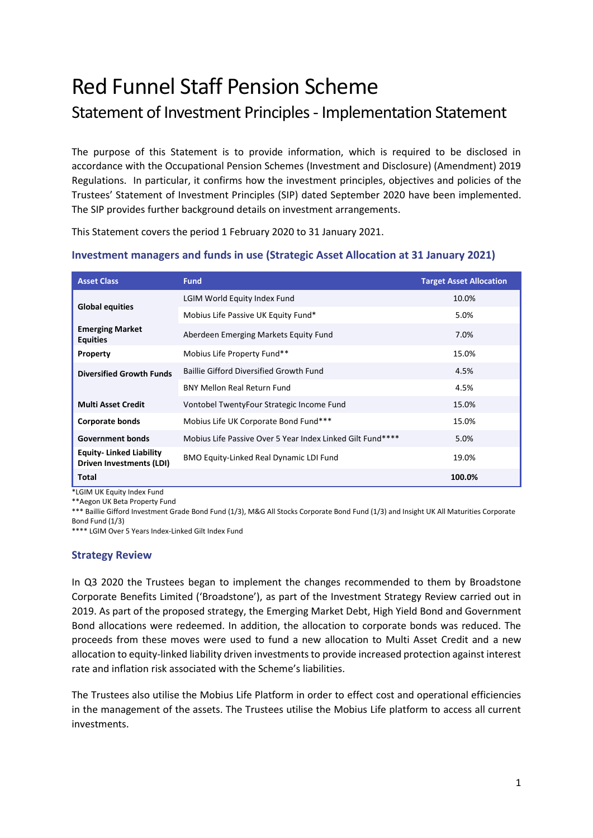# Red Funnel Staff Pension Scheme

## Statement of Investment Principles - Implementation Statement

The purpose of this Statement is to provide information, which is required to be disclosed in accordance with the Occupational Pension Schemes (Investment and Disclosure) (Amendment) 2019 Regulations. In particular, it confirms how the investment principles, objectives and policies of the Trustees' Statement of Investment Principles (SIP) dated September 2020 have been implemented. The SIP provides further background details on investment arrangements.

This Statement covers the period 1 February 2020 to 31 January 2021.

| <b>Asset Class</b>                                                | <b>Fund</b>                                                | <b>Target Asset Allocation</b> |
|-------------------------------------------------------------------|------------------------------------------------------------|--------------------------------|
| <b>Global equities</b>                                            | LGIM World Equity Index Fund                               | 10.0%                          |
|                                                                   | Mobius Life Passive UK Equity Fund*                        | 5.0%                           |
| <b>Emerging Market</b><br><b>Equities</b>                         | Aberdeen Emerging Markets Equity Fund                      | 7.0%                           |
| Property                                                          | Mobius Life Property Fund**                                | 15.0%                          |
| <b>Diversified Growth Funds</b>                                   | <b>Baillie Gifford Diversified Growth Fund</b>             | 4.5%                           |
|                                                                   | <b>BNY Mellon Real Return Fund</b>                         | 4.5%                           |
| <b>Multi Asset Credit</b>                                         | Vontobel TwentyFour Strategic Income Fund                  | 15.0%                          |
| <b>Corporate bonds</b>                                            | Mobius Life UK Corporate Bond Fund***                      | 15.0%                          |
| <b>Government bonds</b>                                           | Mobius Life Passive Over 5 Year Index Linked Gilt Fund**** | 5.0%                           |
| <b>Equity-Linked Liability</b><br><b>Driven Investments (LDI)</b> | <b>BMO Equity-Linked Real Dynamic LDI Fund</b>             | 19.0%                          |
| Total                                                             |                                                            | 100.0%                         |

### **Investment managers and funds in use (Strategic Asset Allocation at 31 January 2021)**

\*LGIM UK Equity Index Fund

\*\*Aegon UK Beta Property Fund

\*\*\* Baillie Gifford Investment Grade Bond Fund (1/3), M&G All Stocks Corporate Bond Fund (1/3) and Insight UK All Maturities Corporate Bond Fund (1/3)

\*\*\*\* LGIM Over 5 Years Index-Linked Gilt Index Fund

#### **Strategy Review**

In Q3 2020 the Trustees began to implement the changes recommended to them by Broadstone Corporate Benefits Limited ('Broadstone'), as part of the Investment Strategy Review carried out in 2019. As part of the proposed strategy, the Emerging Market Debt, High Yield Bond and Government Bond allocations were redeemed. In addition, the allocation to corporate bonds was reduced. The proceeds from these moves were used to fund a new allocation to Multi Asset Credit and a new allocation to equity-linked liability driven investments to provide increased protection against interest rate and inflation risk associated with the Scheme's liabilities.

The Trustees also utilise the Mobius Life Platform in order to effect cost and operational efficiencies in the management of the assets. The Trustees utilise the Mobius Life platform to access all current investments.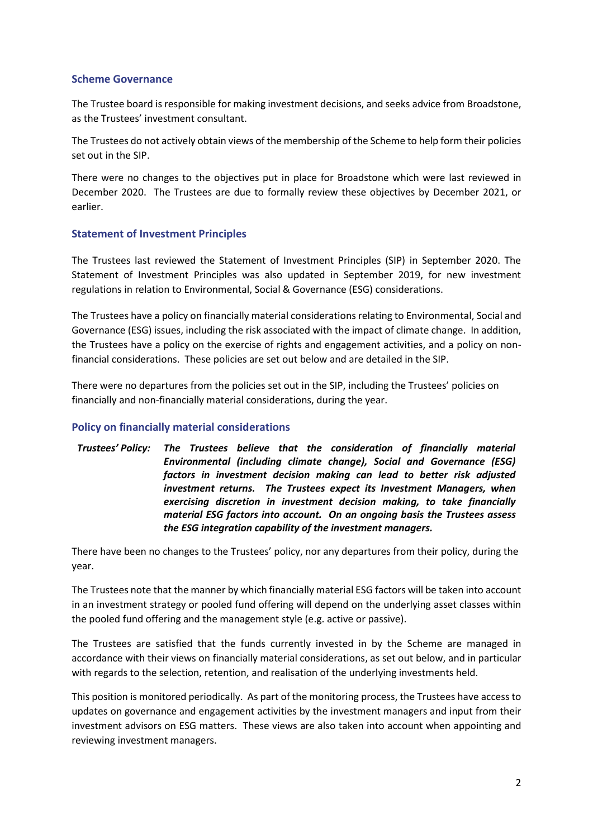#### **Scheme Governance**

The Trustee board is responsible for making investment decisions, and seeks advice from Broadstone, as the Trustees' investment consultant.

The Trustees do not actively obtain views of the membership of the Scheme to help form their policies set out in the SIP.

There were no changes to the objectives put in place for Broadstone which were last reviewed in December 2020. The Trustees are due to formally review these objectives by December 2021, or earlier.

#### **Statement of Investment Principles**

The Trustees last reviewed the Statement of Investment Principles (SIP) in September 2020. The Statement of Investment Principles was also updated in September 2019, for new investment regulations in relation to Environmental, Social & Governance (ESG) considerations.

The Trustees have a policy on financially material considerations relating to Environmental, Social and Governance (ESG) issues, including the risk associated with the impact of climate change. In addition, the Trustees have a policy on the exercise of rights and engagement activities, and a policy on nonfinancial considerations. These policies are set out below and are detailed in the SIP.

There were no departures from the policies set out in the SIP, including the Trustees' policies on financially and non-financially material considerations, during the year.

#### **Policy on financially material considerations**

*Trustees' Policy: The Trustees believe that the consideration of financially material Environmental (including climate change), Social and Governance (ESG) factors in investment decision making can lead to better risk adjusted investment returns. The Trustees expect its Investment Managers, when exercising discretion in investment decision making, to take financially material ESG factors into account. On an ongoing basis the Trustees assess the ESG integration capability of the investment managers.*

There have been no changes to the Trustees' policy, nor any departures from their policy, during the year.

The Trustees note that the manner by which financially material ESG factors will be taken into account in an investment strategy or pooled fund offering will depend on the underlying asset classes within the pooled fund offering and the management style (e.g. active or passive).

The Trustees are satisfied that the funds currently invested in by the Scheme are managed in accordance with their views on financially material considerations, as set out below, and in particular with regards to the selection, retention, and realisation of the underlying investments held.

This position is monitored periodically. As part of the monitoring process, the Trustees have access to updates on governance and engagement activities by the investment managers and input from their investment advisors on ESG matters. These views are also taken into account when appointing and reviewing investment managers.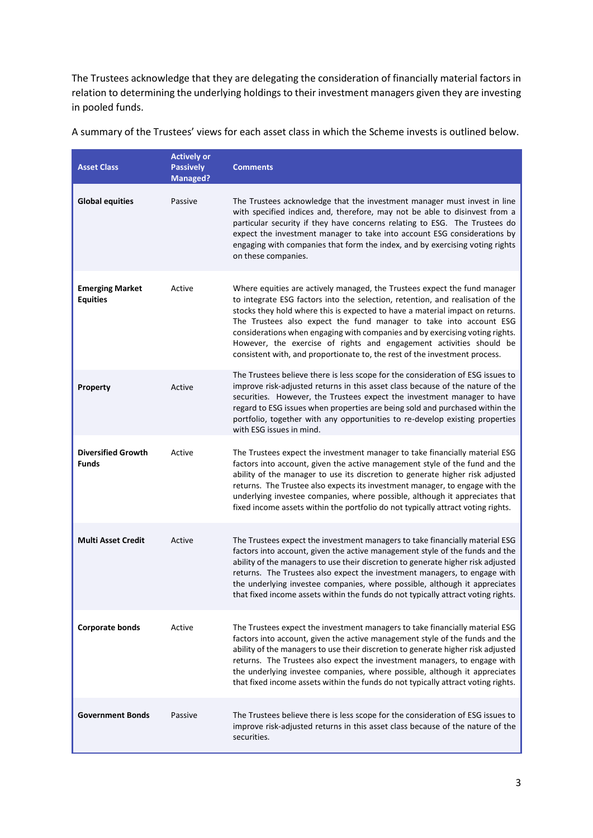The Trustees acknowledge that they are delegating the consideration of financially material factors in relation to determining the underlying holdings to their investment managers given they are investing in pooled funds.

| <b>Asset Class</b>                        | <b>Actively or</b><br><b>Passively</b><br><b>Managed?</b> | <b>Comments</b>                                                                                                                                                                                                                                                                                                                                                                                                                                                                                                                                         |
|-------------------------------------------|-----------------------------------------------------------|---------------------------------------------------------------------------------------------------------------------------------------------------------------------------------------------------------------------------------------------------------------------------------------------------------------------------------------------------------------------------------------------------------------------------------------------------------------------------------------------------------------------------------------------------------|
| <b>Global equities</b>                    | Passive                                                   | The Trustees acknowledge that the investment manager must invest in line<br>with specified indices and, therefore, may not be able to disinvest from a<br>particular security if they have concerns relating to ESG. The Trustees do<br>expect the investment manager to take into account ESG considerations by<br>engaging with companies that form the index, and by exercising voting rights<br>on these companies.                                                                                                                                 |
| <b>Emerging Market</b><br><b>Equities</b> | Active                                                    | Where equities are actively managed, the Trustees expect the fund manager<br>to integrate ESG factors into the selection, retention, and realisation of the<br>stocks they hold where this is expected to have a material impact on returns.<br>The Trustees also expect the fund manager to take into account ESG<br>considerations when engaging with companies and by exercising voting rights.<br>However, the exercise of rights and engagement activities should be<br>consistent with, and proportionate to, the rest of the investment process. |
| Property                                  | Active                                                    | The Trustees believe there is less scope for the consideration of ESG issues to<br>improve risk-adjusted returns in this asset class because of the nature of the<br>securities. However, the Trustees expect the investment manager to have<br>regard to ESG issues when properties are being sold and purchased within the<br>portfolio, together with any opportunities to re-develop existing properties<br>with ESG issues in mind.                                                                                                                |
| <b>Diversified Growth</b><br><b>Funds</b> | Active                                                    | The Trustees expect the investment manager to take financially material ESG<br>factors into account, given the active management style of the fund and the<br>ability of the manager to use its discretion to generate higher risk adjusted<br>returns. The Trustee also expects its investment manager, to engage with the<br>underlying investee companies, where possible, although it appreciates that<br>fixed income assets within the portfolio do not typically attract voting rights.                                                          |
| <b>Multi Asset Credit</b>                 | Active                                                    | The Trustees expect the investment managers to take financially material ESG<br>factors into account, given the active management style of the funds and the<br>ability of the managers to use their discretion to generate higher risk adjusted<br>returns. The Trustees also expect the investment managers, to engage with<br>the underlying investee companies, where possible, although it appreciates<br>that fixed income assets within the funds do not typically attract voting rights.                                                        |
| <b>Corporate bonds</b>                    | Active                                                    | The Trustees expect the investment managers to take financially material ESG<br>factors into account, given the active management style of the funds and the<br>ability of the managers to use their discretion to generate higher risk adjusted<br>returns. The Trustees also expect the investment managers, to engage with<br>the underlying investee companies, where possible, although it appreciates<br>that fixed income assets within the funds do not typically attract voting rights.                                                        |
| <b>Government Bonds</b>                   | Passive                                                   | The Trustees believe there is less scope for the consideration of ESG issues to<br>improve risk-adjusted returns in this asset class because of the nature of the<br>securities.                                                                                                                                                                                                                                                                                                                                                                        |

A summary of the Trustees' views for each asset class in which the Scheme invests is outlined below.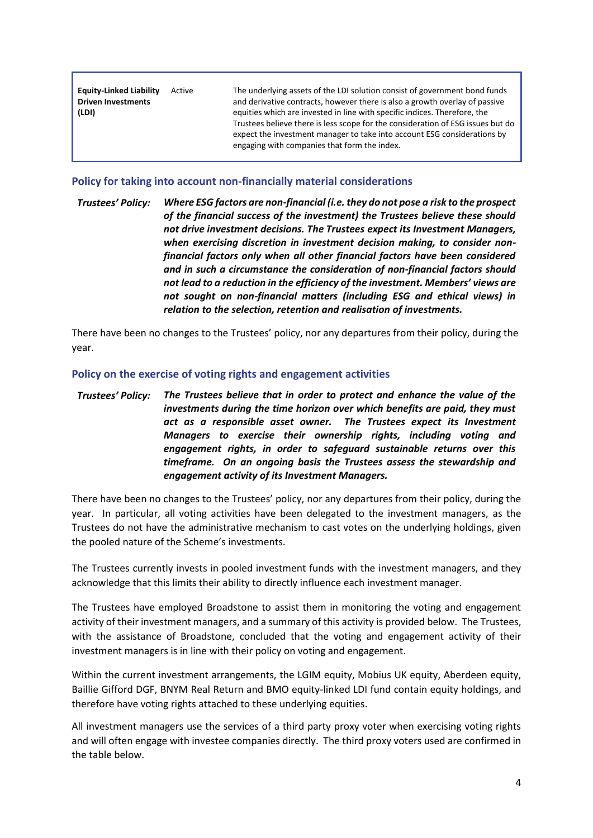| <b>Equity-Linked Liability</b><br><b>Driven Investments</b><br>(LDI) | Active | The underlying assets of the LDI solution consist of government bond funds<br>and derivative contracts, however there is also a growth overlay of passive<br>equities which are invested in line with specific indices. Therefore, the<br>Trustees believe there is less scope for the consideration of ESG issues but do<br>expect the investment manager to take into account ESG considerations by<br>engaging with companies that form the index. |
|----------------------------------------------------------------------|--------|-------------------------------------------------------------------------------------------------------------------------------------------------------------------------------------------------------------------------------------------------------------------------------------------------------------------------------------------------------------------------------------------------------------------------------------------------------|
|                                                                      |        |                                                                                                                                                                                                                                                                                                                                                                                                                                                       |

#### **Policy for taking into account non-financially material considerations**

*Trustees' Policy: Where ESG factors are non-financial (i.e. they do not pose a risk to the prospect of the financial success of the investment) the Trustees believe these should not drive investment decisions. The Trustees expect its Investment Managers, when exercising discretion in investment decision making, to consider nonfinancial factors only when all other financial factors have been considered and in such a circumstance the consideration of non-financial factors should not lead to a reduction in the efficiency of the investment. Members' views are not sought on non-financial matters (including ESG and ethical views) in relation to the selection, retention and realisation of investments.*

There have been no changes to the Trustees' policy, nor any departures from their policy, during the year.

#### **Policy on the exercise of voting rights and engagement activities**

*Trustees' Policy: The Trustees believe that in order to protect and enhance the value of the investments during the time horizon over which benefits are paid, they must act as a responsible asset owner. The Trustees expect its Investment Managers to exercise their ownership rights, including voting and engagement rights, in order to safeguard sustainable returns over this timeframe. On an ongoing basis the Trustees assess the stewardship and engagement activity of its Investment Managers.*

There have been no changes to the Trustees' policy, nor any departures from their policy, during the year. In particular, all voting activities have been delegated to the investment managers, as the Trustees do not have the administrative mechanism to cast votes on the underlying holdings, given the pooled nature of the Scheme's investments.

The Trustees currently invests in pooled investment funds with the investment managers, and they acknowledge that this limits their ability to directly influence each investment manager.

The Trustees have employed Broadstone to assist them in monitoring the voting and engagement activity of their investment managers, and a summary of this activity is provided below. The Trustees, with the assistance of Broadstone, concluded that the voting and engagement activity of their investment managers is in line with their policy on voting and engagement.

Within the current investment arrangements, the LGIM equity, Mobius UK equity, Aberdeen equity, Baillie Gifford DGF, BNYM Real Return and BMO equity-linked LDI fund contain equity holdings, and therefore have voting rights attached to these underlying equities.

All investment managers use the services of a third party proxy voter when exercising voting rights and will often engage with investee companies directly. The third proxy voters used are confirmed in the table below.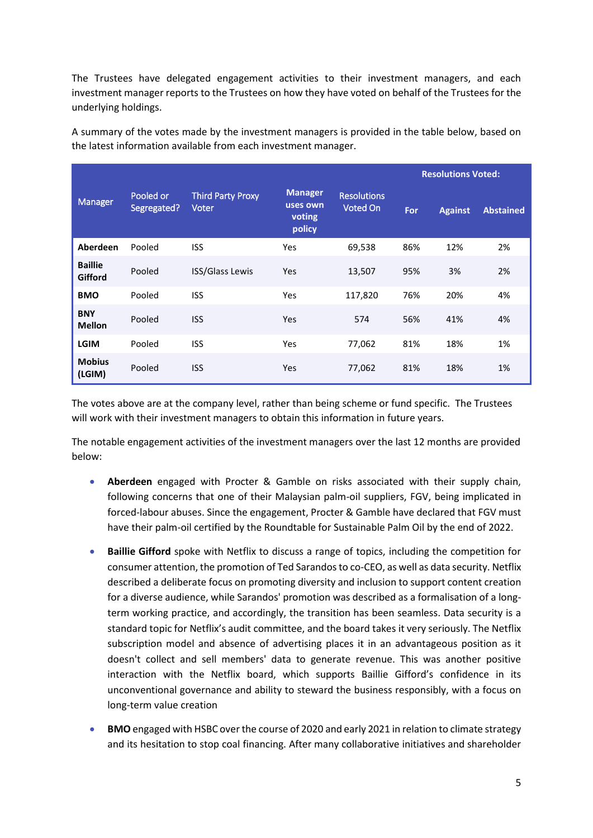The Trustees have delegated engagement activities to their investment managers, and each investment manager reports to the Trustees on how they have voted on behalf of the Trustees for the underlying holdings.

Manager Pooled or Segregated? Third Party Proxy Voter **Resolutions** Voted On **Resolutions Voted: Manager uses own voting policy For Against Abstained Aberdeen** Pooled ISS Yes 69,538 86% 12% 2% **Baillie Gifford** Pooled ISS/Glass Lewis Yes 13,507 95% 3% 2% **BMO** Pooled ISS Yes 117,820 76% 20% 4% **BNY Dividend ISS Area Accepted ISS Network** Society in the Mellon Control and American Accepted Accepted Accepted A<br>Mellon and Pooled ISS Area Accepted Accepted Accepted Accepted Accepted Accepted Accepted Accepted Accepted A **LGIM** Pooled ISS Yes 77,062 81% 18% 1% **Mobius (LGIM)** Pooled ISS Yes 77,062 81% 18% 1%

A summary of the votes made by the investment managers is provided in the table below, based on the latest information available from each investment manager.

The votes above are at the company level, rather than being scheme or fund specific. The Trustees will work with their investment managers to obtain this information in future years.

The notable engagement activities of the investment managers over the last 12 months are provided below:

- **Aberdeen** engaged with Procter & Gamble on risks associated with their supply chain, following concerns that one of their Malaysian palm-oil suppliers, FGV, being implicated in forced-labour abuses. Since the engagement, Procter & Gamble have declared that FGV must have their palm-oil certified by the Roundtable for Sustainable Palm Oil by the end of 2022.
- **Baillie Gifford** spoke with Netflix to discuss a range of topics, including the competition for consumer attention, the promotion of Ted Sarandos to co-CEO, as well as data security. Netflix described a deliberate focus on promoting diversity and inclusion to support content creation for a diverse audience, while Sarandos' promotion was described as a formalisation of a longterm working practice, and accordingly, the transition has been seamless. Data security is a standard topic for Netflix's audit committee, and the board takes it very seriously. The Netflix subscription model and absence of advertising places it in an advantageous position as it doesn't collect and sell members' data to generate revenue. This was another positive interaction with the Netflix board, which supports Baillie Gifford's confidence in its unconventional governance and ability to steward the business responsibly, with a focus on long-term value creation
- **BMO** engaged with HSBC over the course of 2020 and early 2021 in relation to climate strategy and its hesitation to stop coal financing. After many collaborative initiatives and shareholder